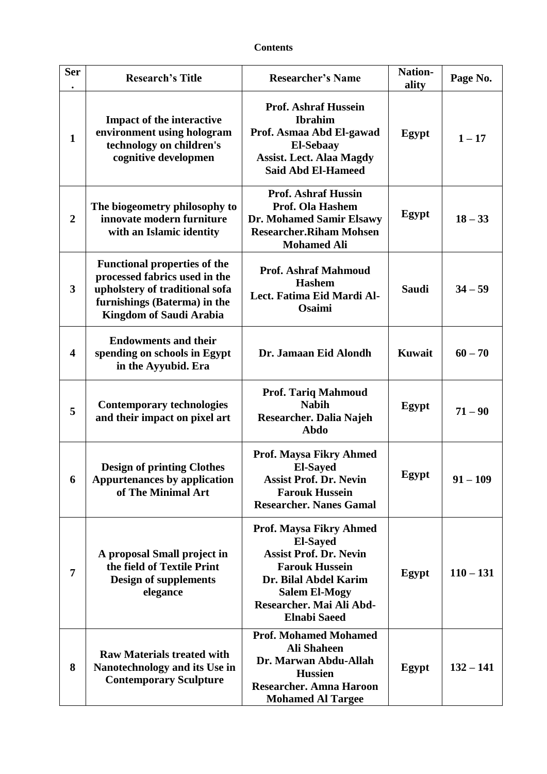## **Contents**

| <b>Ser</b>              | <b>Research's Title</b>                                                                                                                                                  | <b>Researcher's Name</b>                                                                                                                                                                                 | <b>Nation-</b><br>ality | Page No.    |
|-------------------------|--------------------------------------------------------------------------------------------------------------------------------------------------------------------------|----------------------------------------------------------------------------------------------------------------------------------------------------------------------------------------------------------|-------------------------|-------------|
| $\mathbf{1}$            | <b>Impact of the interactive</b><br>environment using hologram<br>technology on children's<br>cognitive developmen                                                       | <b>Prof. Ashraf Hussein</b><br><b>Ibrahim</b><br>Prof. Asmaa Abd El-gawad<br><b>El-Sebaay</b><br><b>Assist. Lect. Alaa Magdy</b><br><b>Said Abd El-Hameed</b>                                            | Egypt                   | $1 - 17$    |
| $\boldsymbol{2}$        | The biogeometry philosophy to<br>innovate modern furniture<br>with an Islamic identity                                                                                   | <b>Prof. Ashraf Hussin</b><br>Prof. Ola Hashem<br>Dr. Mohamed Samir Elsawy<br><b>Researcher.Riham Mohsen</b><br><b>Mohamed Ali</b>                                                                       | Egypt                   | $18 - 33$   |
| 3                       | <b>Functional properties of the</b><br>processed fabrics used in the<br>upholstery of traditional sofa<br>furnishings (Baterma) in the<br><b>Kingdom of Saudi Arabia</b> | <b>Prof. Ashraf Mahmoud</b><br><b>Hashem</b><br>Lect. Fatima Eid Mardi Al-<br><b>Osaimi</b>                                                                                                              | <b>Saudi</b>            | $34 - 59$   |
| $\overline{\mathbf{4}}$ | <b>Endowments and their</b><br>spending on schools in Egypt<br>in the Ayyubid. Era                                                                                       | Dr. Jamaan Eid Alondh                                                                                                                                                                                    | <b>Kuwait</b>           | $60 - 70$   |
| 5                       | <b>Contemporary technologies</b><br>and their impact on pixel art                                                                                                        | <b>Prof. Tariq Mahmoud</b><br><b>Nabih</b><br>Researcher. Dalia Najeh<br>Abdo                                                                                                                            | Egypt                   | $71 - 90$   |
| 6                       | <b>Design of printing Clothes</b><br><b>Appurtenances by application</b><br>of The Minimal Art                                                                           | Prof. Maysa Fikry Ahmed<br><b>El-Sayed</b><br><b>Assist Prof. Dr. Nevin</b><br><b>Farouk Hussein</b><br><b>Researcher. Nanes Gamal</b>                                                                   | Egypt                   | $91 - 109$  |
| 7                       | A proposal Small project in<br>the field of Textile Print<br><b>Design of supplements</b><br>elegance                                                                    | Prof. Maysa Fikry Ahmed<br><b>El-Sayed</b><br><b>Assist Prof. Dr. Nevin</b><br><b>Farouk Hussein</b><br>Dr. Bilal Abdel Karim<br><b>Salem El-Mogy</b><br>Researcher. Mai Ali Abd-<br><b>Elnabi Saeed</b> | Egypt                   | $110 - 131$ |
| 8                       | <b>Raw Materials treated with</b><br>Nanotechnology and its Use in<br><b>Contemporary Sculpture</b>                                                                      | <b>Prof. Mohamed Mohamed</b><br><b>Ali Shaheen</b><br>Dr. Marwan Abdu-Allah<br><b>Hussien</b><br><b>Researcher. Amna Haroon</b><br><b>Mohamed Al Targee</b>                                              | Egypt                   | $132 - 141$ |